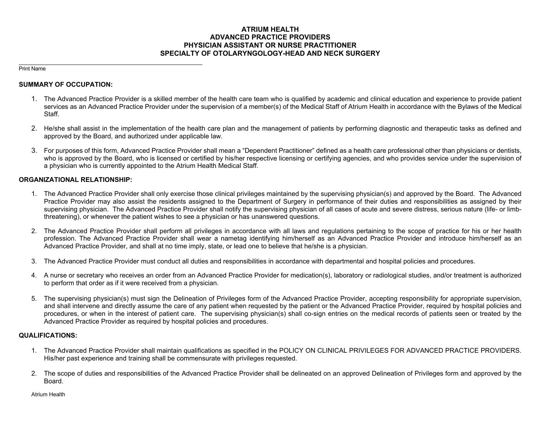## **ATRIUM HEALTH ADVANCED PRACTICE PROVIDERS PHYSICIAN ASSISTANT OR NURSE PRACTITIONER SPECIALTY OF OTOLARYNGOLOGY-HEAD AND NECK SURGERY**

Print Name

## **SUMMARY OF OCCUPATION:**

- 1. The Advanced Practice Provider is a skilled member of the health care team who is qualified by academic and clinical education and experience to provide patient services as an Advanced Practice Provider under the supervision of a member(s) of the Medical Staff of Atrium Health in accordance with the Bylaws of the Medical Staff.
- 2. He/she shall assist in the implementation of the health care plan and the management of patients by performing diagnostic and therapeutic tasks as defined and approved by the Board, and authorized under applicable law.
- 3. For purposes of this form, Advanced Practice Provider shall mean a "Dependent Practitioner" defined as a health care professional other than physicians or dentists, who is approved by the Board, who is licensed or certified by his/her respective licensing or certifying agencies, and who provides service under the supervision of a physician who is currently appointed to the Atrium Health Medical Staff.

## **ORGANIZATIONAL RELATIONSHIP:**

- 1. The Advanced Practice Provider shall only exercise those clinical privileges maintained by the supervising physician(s) and approved by the Board. The Advanced Practice Provider may also assist the residents assigned to the Department of Surgery in performance of their duties and responsibilities as assigned by their supervising physician. The Advanced Practice Provider shall notify the supervising physician of all cases of acute and severe distress, serious nature (life- or limbthreatening), or whenever the patient wishes to see a physician or has unanswered questions.
- 2. The Advanced Practice Provider shall perform all privileges in accordance with all laws and regulations pertaining to the scope of practice for his or her health profession. The Advanced Practice Provider shall wear a nametag identifying him/herself as an Advanced Practice Provider and introduce him/herself as an Advanced Practice Provider, and shall at no time imply, state, or lead one to believe that he/she is a physician.
- 3. The Advanced Practice Provider must conduct all duties and responsibilities in accordance with departmental and hospital policies and procedures.
- 4. A nurse or secretary who receives an order from an Advanced Practice Provider for medication(s), laboratory or radiological studies, and/or treatment is authorized to perform that order as if it were received from a physician.
- 5. The supervising physician(s) must sign the Delineation of Privileges form of the Advanced Practice Provider, accepting responsibility for appropriate supervision, and shall intervene and directly assume the care of any patient when requested by the patient or the Advanced Practice Provider, required by hospital policies and procedures, or when in the interest of patient care. The supervising physician(s) shall co-sign entries on the medical records of patients seen or treated by the Advanced Practice Provider as required by hospital policies and procedures.

## **QUALIFICATIONS:**

- 1. The Advanced Practice Provider shall maintain qualifications as specified in the POLICY ON CLINICAL PRIVILEGES FOR ADVANCED PRACTICE PROVIDERS. His/her past experience and training shall be commensurate with privileges requested.
- 2. The scope of duties and responsibilities of the Advanced Practice Provider shall be delineated on an approved Delineation of Privileges form and approved by the Board.

Atrium Health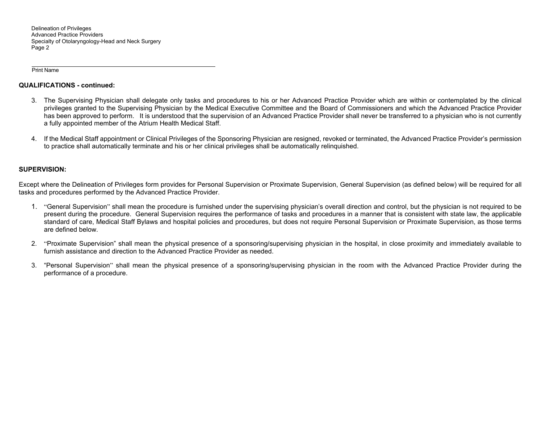Delineation of Privileges Advanced Practice Providers Specialty of Otolaryngology-Head and Neck Surgery Page 2

Print Name

### **QUALIFICATIONS - continued:**

- 3. The Supervising Physician shall delegate only tasks and procedures to his or her Advanced Practice Provider which are within or contemplated by the clinical privileges granted to the Supervising Physician by the Medical Executive Committee and the Board of Commissioners and which the Advanced Practice Provider has been approved to perform. It is understood that the supervision of an Advanced Practice Provider shall never be transferred to a physician who is not currently a fully appointed member of the Atrium Health Medical Staff.
- 4. If the Medical Staff appointment or Clinical Privileges of the Sponsoring Physician are resigned, revoked or terminated, the Advanced Practice Provider's permission to practice shall automatically terminate and his or her clinical privileges shall be automatically relinquished.

## **SUPERVISION:**

Except where the Delineation of Privileges form provides for Personal Supervision or Proximate Supervision, General Supervision (as defined below) will be required for all tasks and procedures performed by the Advanced Practice Provider.

- 1. "General Supervision" shall mean the procedure is furnished under the supervising physician's overall direction and control, but the physician is not required to be present during the procedure. General Supervision requires the performance of tasks and procedures in a manner that is consistent with state law, the applicable standard of care, Medical Staff Bylaws and hospital policies and procedures, but does not require Personal Supervision or Proximate Supervision, as those terms are defined below.
- 2. "Proximate Supervision" shall mean the physical presence of a sponsoring/supervising physician in the hospital, in close proximity and immediately available to furnish assistance and direction to the Advanced Practice Provider as needed.
- 3. "Personal Supervision" shall mean the physical presence of a sponsoring/supervising physician in the room with the Advanced Practice Provider during the performance of a procedure.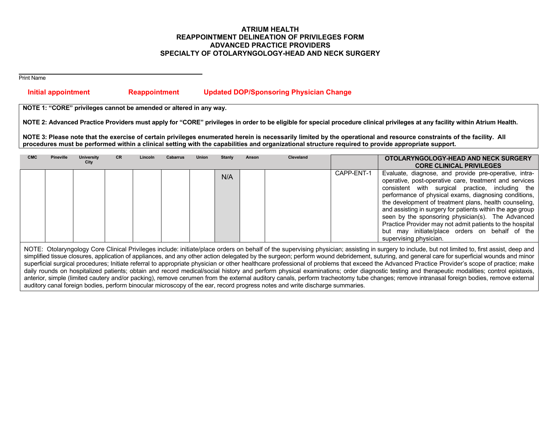## **ATRIUM HEALTH REAPPOINTMENT DELINEATION OF PRIVILEGES FORM ADVANCED PRACTICE PROVIDERS SPECIALTY OF OTOLARYNGOLOGY-HEAD AND NECK SURGERY**

Print Name

# **Initial appointment Reappointment Updated DOP/Sponsoring Physician Change**

**NOTE 1: "CORE" privileges cannot be amended or altered in any way.** 

**NOTE 2: Advanced Practice Providers must apply for "CORE" privileges in order to be eligible for special procedure clinical privileges at any facility within Atrium Health.** 

**NOTE 3: Please note that the exercise of certain privileges enumerated herein is necessarily limited by the operational and resource constraints of the facility. All procedures must be performed within a clinical setting with the capabilities and organizational structure required to provide appropriate support.** 

| <b>CMC</b> | <b>Pineville</b> | <b>University</b><br>City | <b>CR</b> | Lincoln | <b>Cabarrus</b> | <b>Union</b> | Stanly | Anson | Cleveland |            | OTOLARYNGOLOGY-HEAD AND NECK SURGERY<br><b>CORE CLINICAL PRIVILEGES</b>                                                                                                                                                                                                                                                                                                                                                                                                                                                                           |
|------------|------------------|---------------------------|-----------|---------|-----------------|--------------|--------|-------|-----------|------------|---------------------------------------------------------------------------------------------------------------------------------------------------------------------------------------------------------------------------------------------------------------------------------------------------------------------------------------------------------------------------------------------------------------------------------------------------------------------------------------------------------------------------------------------------|
|            |                  |                           |           |         |                 |              | N/A    |       |           | CAPP-ENT-1 | Evaluate, diagnose, and provide pre-operative, intra-<br>operative, post-operative care, treatment and services<br>consistent with surgical practice, including the<br>performance of physical exams, diagnosing conditions,<br>the development of treatment plans, health counseling,<br>and assisting in surgery for patients within the age group<br>seen by the sponsoring physician(s). The Advanced<br>Practice Provider may not admit patients to the hospital<br>but may initiate/place orders on behalf of the<br>supervising physician. |

NOTE: Otolaryngology Core Clinical Privileges include: initiate/place orders on behalf of the supervising physician; assisting in surgery to include, but not limited to, first assist, deep and simplified tissue closures, application of appliances, and any other action delegated by the surgeon; perform wound debridement, suturing, and general care for superficial wounds and minor superficial surgical procedures; Initiate referral to appropriate physician or other healthcare professional of problems that exceed the Advanced Practice Provider's scope of practice; make daily rounds on hospitalized patients; obtain and record medical/social history and perform physical examinations; order diagnostic testing and therapeutic modalities; control epistaxis, anterior, simple (limited cautery and/or packing), remove cerumen from the external auditory canals, perform tracheotomy tube changes; remove intranasal foreign bodies, remove external auditory canal foreign bodies, perform binocular microscopy of the ear, record progress notes and write discharge summaries.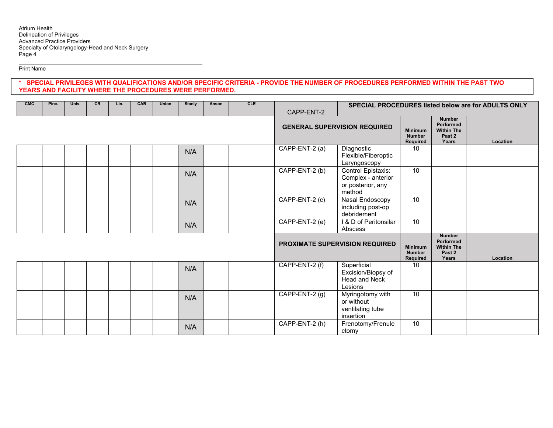Print Name

## **\* SPECIAL PRIVILEGES WITH QUALIFICATIONS AND/OR SPECIFIC CRITERIA - PROVIDE THE NUMBER OF PROCEDURES PERFORMED WITHIN THE PAST TWO YEARS AND FACILITY WHERE THE PROCEDURES WERE PERFORMED.**

| <b>CMC</b> | Pine. | Univ. | CR | Lin. | CAB | Union | Stanly | Anson                                 | CLE                                         |                                                                    | SPECIAL PROCEDURES listed below are for ADULTS ONLY                     |                                             |                                                                    |          |
|------------|-------|-------|----|------|-----|-------|--------|---------------------------------------|---------------------------------------------|--------------------------------------------------------------------|-------------------------------------------------------------------------|---------------------------------------------|--------------------------------------------------------------------|----------|
|            |       |       |    |      |     |       |        |                                       |                                             | CAPP-ENT-2                                                         | <b>GENERAL SUPERVISION REQUIRED</b>                                     | <b>Minimum</b><br><b>Number</b><br>Required | <b>Number</b><br>Performed<br><b>Within The</b><br>Past 2<br>Years | Location |
|            |       |       |    |      |     |       | N/A    |                                       |                                             | CAPP-ENT-2 (a)                                                     | Diagnostic<br>Flexible/Fiberoptic<br>Laryngoscopy                       | 10                                          |                                                                    |          |
|            |       |       |    |      |     |       | N/A    |                                       |                                             | CAPP-ENT-2 (b)                                                     | Control Epistaxis:<br>Complex - anterior<br>or posterior, any<br>method | 10 <sup>°</sup>                             |                                                                    |          |
|            |       |       |    |      |     |       | N/A    |                                       |                                             | CAPP-ENT-2 (c)                                                     | Nasal Endoscopy<br>including post-op<br>debridement                     | 10 <sup>°</sup>                             |                                                                    |          |
|            |       |       |    |      |     |       | N/A    |                                       |                                             | CAPP-ENT-2 (e)                                                     | I & D of Peritonsilar<br>Abscess                                        | 10                                          |                                                                    |          |
|            |       |       |    |      |     |       |        | <b>PROXIMATE SUPERVISION REQUIRED</b> | <b>Minimum</b><br><b>Number</b><br>Required | <b>Number</b><br>Performed<br><b>Within The</b><br>Past 2<br>Years | Location                                                                |                                             |                                                                    |          |
|            |       |       |    |      |     |       | N/A    |                                       |                                             | CAPP-ENT-2 (f)                                                     | Superficial<br>Excision/Biopsy of<br>Head and Neck<br>Lesions           | 10                                          |                                                                    |          |
|            |       |       |    |      |     |       | N/A    |                                       |                                             | CAPP-ENT-2 $(g)$                                                   | Myringotomy with<br>or without<br>ventilating tube<br>insertion         | 10                                          |                                                                    |          |
|            |       |       |    |      |     |       | N/A    |                                       |                                             | CAPP-ENT-2 (h)                                                     | Frenotomy/Frenule<br>ctomy                                              | 10 <sup>°</sup>                             |                                                                    |          |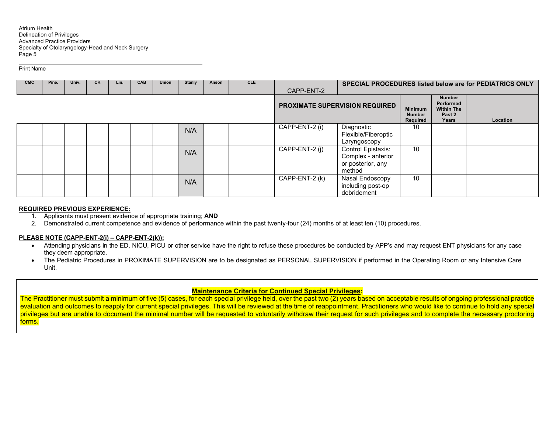Print Name

| <b>CMC</b> | Pine. | Univ. | <b>CR</b> | Lin. | <b>CAB</b> | <b>Union</b> | <b>Stanly</b> | Anson | <b>CLE</b> |                |                                                                         |                                             |                                                                    | <b>SPECIAL PROCEDURES listed below are for PEDIATRICS ONLY</b> |
|------------|-------|-------|-----------|------|------------|--------------|---------------|-------|------------|----------------|-------------------------------------------------------------------------|---------------------------------------------|--------------------------------------------------------------------|----------------------------------------------------------------|
|            |       |       |           |      |            |              |               |       |            | CAPP-ENT-2     |                                                                         |                                             |                                                                    |                                                                |
|            |       |       |           |      |            |              |               |       |            |                | <b>PROXIMATE SUPERVISION REQUIRED</b>                                   | <b>Minimum</b><br><b>Number</b><br>Required | <b>Number</b><br>Performed<br><b>Within The</b><br>Past 2<br>Years | Location                                                       |
|            |       |       |           |      |            |              | N/A           |       |            | CAPP-ENT-2 (i) | Diagnostic<br>Flexible/Fiberoptic<br>Laryngoscopy                       | 10                                          |                                                                    |                                                                |
|            |       |       |           |      |            |              | N/A           |       |            | CAPP-ENT-2 (j) | Control Epistaxis:<br>Complex - anterior<br>or posterior, any<br>method | 10                                          |                                                                    |                                                                |
|            |       |       |           |      |            |              | N/A           |       |            | CAPP-ENT-2 (k) | Nasal Endoscopy<br>including post-op<br>debridement                     | 10                                          |                                                                    |                                                                |

#### **REQUIRED PREVIOUS EXPERIENCE:**

- 1. Applicants must present evidence of appropriate training; **AND**
- 2. Demonstrated current competence and evidence of performance within the past twenty-four (24) months of at least ten (10) procedures.

### **PLEASE NOTE (CAPP-ENT-2(i) – CAPP-ENT-2(k)):**

- Attending physicians in the ED, NICU, PICU or other service have the right to refuse these procedures be conducted by APP's and may request ENT physicians for any case they deem appropriate.
- The Pediatric Procedures in PROXIMATE SUPERVISION are to be designated as PERSONAL SUPERVISION if performed in the Operating Room or any Intensive Care Unit.

#### **Maintenance Criteria for Continued Special Privileges:**

The Practitioner must submit a minimum of five (5) cases, for each special privilege held, over the past two (2) years based on acceptable results of ongoing professional practice evaluation and outcomes to reapply for current special privileges. This will be reviewed at the time of reappointment. Practitioners who would like to continue to hold any special privileges but are unable to document the minimal number will be requested to voluntarily withdraw their request for such privileges and to complete the necessary proctoring forms.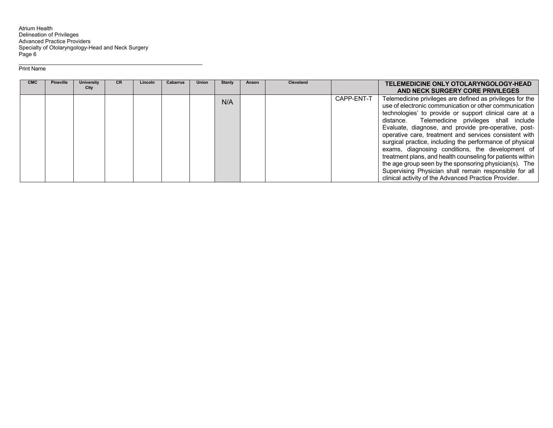Atrium Health<br>Delineation of Privileges<br>Advanced Practice Providers<br>Specialty of Otolaryngology-Head and Neck Surgery Page 6

#### Print Name

| <b>CMC</b> | <b>Pineville</b> | <b>University</b><br>City | <b>CR</b> | Lincoln | <b>Cabarrus</b> | <b>Union</b> | <b>Stanly</b> | Anson | <b>Cleveland</b> |            | TELEMEDICINE ONLY OTOLARYNGOLOGY-HEAD<br>AND NECK SURGERY CORE PRIVILEGES                                                                                                                                                                                                                                                                                                                                                                                                                                                                                                                                                                                                                                    |
|------------|------------------|---------------------------|-----------|---------|-----------------|--------------|---------------|-------|------------------|------------|--------------------------------------------------------------------------------------------------------------------------------------------------------------------------------------------------------------------------------------------------------------------------------------------------------------------------------------------------------------------------------------------------------------------------------------------------------------------------------------------------------------------------------------------------------------------------------------------------------------------------------------------------------------------------------------------------------------|
|            |                  |                           |           |         |                 |              | N/A           |       |                  | CAPP-ENT-T | Telemedicine privileges are defined as privileges for the<br>use of electronic communication or other communication<br>technologies' to provide or support clinical care at a<br>distance. Telemedicine privileges shall include<br>Evaluate, diagnose, and provide pre-operative, post-<br>operative care, treatment and services consistent with<br>surgical practice, including the performance of physical<br>exams, diagnosing conditions, the development of<br>treatment plans, and health counseling for patients within<br>the age group seen by the sponsoring physician(s). The<br>Supervising Physician shall remain responsible for all<br>clinical activity of the Advanced Practice Provider. |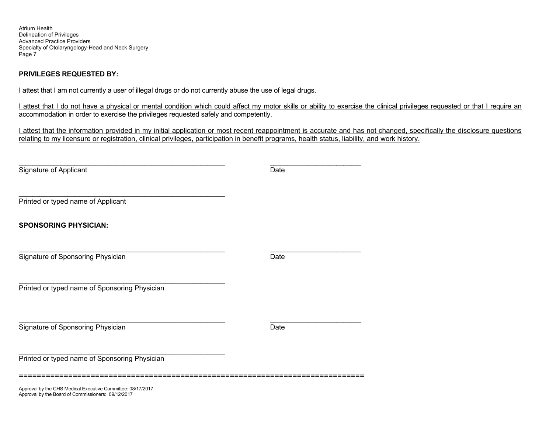Atrium Health Delineation of Privileges Advanced Practice Providers Specialty of Otolaryngology-Head and Neck Surgery Page 7

## **PRIVILEGES REQUESTED BY:**

I attest that I am not currently a user of illegal drugs or do not currently abuse the use of legal drugs.

I attest that I do not have a physical or mental condition which could affect my motor skills or ability to exercise the clinical privileges requested or that I require an accommodation in order to exercise the privileges requested safely and competently.

I attest that the information provided in my initial application or most recent reappointment is accurate and has not changed, specifically the disclosure questions relating to my licensure or registration, clinical privileges, participation in benefit programs, health status, liability, and work history.

\_\_\_\_\_\_\_\_\_\_\_\_\_\_\_\_\_\_\_\_\_\_\_\_\_\_\_\_\_\_\_\_\_\_\_\_\_\_\_\_\_\_\_\_\_\_\_\_\_\_\_\_\_\_\_\_\_\_\_ \_\_\_\_\_\_\_\_\_\_\_\_\_\_\_\_\_\_\_\_\_\_\_\_\_\_ Signature of Applicant Date

Printed or typed name of Applicant

**SPONSORING PHYSICIAN:** 

Signature of Sponsoring Physician Date Date Date Date

\_\_\_\_\_\_\_\_\_\_\_\_\_\_\_\_\_\_\_\_\_\_\_\_\_\_\_\_\_\_\_\_\_\_\_\_\_\_\_\_\_\_\_\_\_\_\_\_\_\_\_\_\_\_\_\_\_\_\_ \_\_\_\_\_\_\_\_\_\_\_\_\_\_\_\_\_\_\_\_\_\_\_\_\_\_

Printed or typed name of Sponsoring Physician

\_\_\_\_\_\_\_\_\_\_\_\_\_\_\_\_\_\_\_\_\_\_\_\_\_\_\_\_\_\_\_\_\_\_\_\_\_\_\_\_\_\_\_\_\_\_\_\_\_\_\_\_\_\_\_\_\_\_\_

**Signature of Sponsoring Physician**  Date **Date Date Date Date Date Date Date** 

Printed or typed name of Sponsoring Physician

=============================================================================

Approval by the CHS Medical Executive Committee: 08/17/2017 Approval by the Board of Commissioners: 09/12/2017